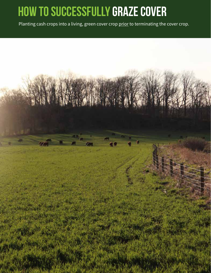## **How to successfully graze cover**

Planting cash crops into a living, green cover crop prior to terminating the cover crop.